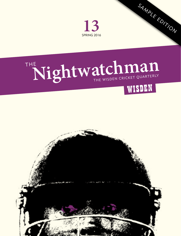

# THE Nightwatchman



SAMPLE EDITION

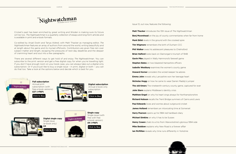

Cricket's past has been enriched by great writing and Wisden is making sure its future will be too. *The Nightwatchman* is a quarterly collection of essays and long-form articles and is available in print and e-book formats.

Co-edited by Anjali Doshi and Tanya Aldred, with Matt Thacker as managing editor, *The Nightwatchman* features an array of authors from around the world, writing beautifully and at length about the game and its myriad offshoots. Contributors are given free rein over subject matter and length, escaping the pressures of next-day deadlines and the despair of cramming heart and soul into a few paragraphs.

There are several different ways to get hold of and enjoy *The Nightwatchman*. You can subscribe to the print version and get a free digital copy for when you're travelling light. If you don't have enough room on your book case, you can always take out a digital-only subscription. Or if you'd just like to buy a single issue – in print, digital or both – you can do that too. Take a look at the options below and decide which is best for you.



[Click to Buy](http://www.thenightwatchman.net/buy/product-category/single-issues)

**£4**



Issue 13, out now, features the following:

**Matt Thacker** introduces the 13th issue of *The Nightwatchman* **Benj Moorehead** on the joy of county commentaries when far from home **Mark Eklid** revels in the ground with the crooked spire **Tim Wigmore** remembers the birth of Durham CCC **Phil Walker** owes his adolescent pleasures to Chelmsford **Brian Halford** looks back on Glamorgan's triumph of 1948 **Gavin Pike** played in Wally Hammond's farewell game **Stephen Bates** on two blazered Hampshire officers **Isabelle Westbury** examines the women's county game **Howard Horner** considers the wicket-keeper he adores **Emma John** reveals why Lancashire won her teenage heart **Nicholas Hogg** on how he came to wear Darren Maddy's jumper **The old timers** The nineteenth-century county game, captured for ever **John Stern** explains Middlesex's identity crisis **Matthew Engel** on why his heart sings always for Northamptonshire **Richard Hobson** recalls the Trent Bridge summers of Cairns and Lewis **Paul Edwards** loves and worries about outground cricket **James Holland** remembers an intoxicating time at Somerset **Harry Pearson** opens up his 1984 red hardback diary **Michael Simkins** on why it has to be Sussex **Henry Cowen** chats to a trio from Warwickshire's glorious 1994 side **Mike Beddow** explains why New Road is a forever affair **Ian McMillan** reveals why time runs differently in Yorkshire

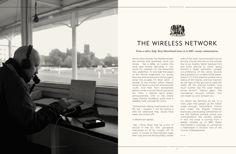



THE NIGHTWATCHMAN

# THE WIRELESS NETWORK

*From a sultry Italy, Benj Moorehead tunes in to BBC county commentaries*

Across the veranda the Mediterranean lies smooth and sparkling, *come una tavola* – like a table, as Luigino the local boar hunter describes it. You could fry calamari on the terracotta tiles underfoot. To one side the peaks of the Monte Argentario cut across blue sky, and all around in the pungent pines the cicadas hit fever pitch. A retreat to the kitchen offers respite. Stoop to fetch a cool roll of prosciutto crudo. And then from somewhere above comes a sound like an extractor fan. Then a distant, eerie public announcement. One or two lonely claps. Silence. Suddenly, quite loud, a likeable male Lancastrian voice…

"Something's being mentioned on the PA, but I suspect it will be raining a little bit otherwise they would have taken the covers off."

A Welshman replies.

"Yes, I think there may be a hint of drizzle in the air, with Lancashire marooned on 16 for nought off 7.3 overs. A couple of little tractors make their way around the boundary, either

side of the rope. Synchronised tractor driving. Course the one on the outside has to go slightly faster because he's got more ground to cover, going around a larger perimeter. Largest circumference of the circle. Sounds like a question on a maths GCSE paper, doesn't it? If the playing surface has a radius of 60 metres, and two tractors do ten laps of the ground to clear the water off the playing surface, how much further has the outer tractor driver driven?" Silence again. The Lancastrian recovers himself: "You can tweet us your answers at…"

It's rather like bending an ear to a rusty pipe that passes up the Italian coast through Switzerland, France and under the English Channel, eventually periscoping somewhere on the Old Trafford outfield, where two commentators are handily placed. In fact the noise is coming from a laptop hooked up to BBC Radio Manchester's coverage of Lancashire v Glamorgan in Division Two of the County Championship.

• • •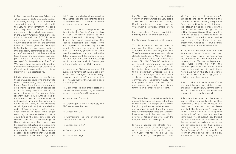In 2012, just as the axe was falling on a whole range of BBC local radio output – including county cricket – the ECB swooped in and tied up a deal with the BBC to offer something we could have only ever dreamed of: online commentary of every ball of every match. In the County Championship alone, this adds up to well over 3,000 hours of commentary a summer. And they say county cricket doesn't get the coverage it used to. On any given day from April to September you can expect to find a live broadcast, sometimes as many as eight Championship matches at a time. Skim through the scorecards, take your pick. A bit of Trescothick at Taunton, perhaps? Or Sangakkara at The Oval? We might poke our nose into another Leicestershire implosion at Grace Road. Or shall we indulge in the obscurity of Derbyshire v Gloucestershire?

Infinite riches, wherever you are. But for those of us, poor souls, who are drawn to live in such cricketing wastelands as the Monte Argentario, these commentaries are a lifeline: a portal into an abandoned world far away. There appear to be quite a few of us. One commentator recently counted 43 countries listed by his listeners. Neil in Norway who has just spotted an arctic fox. Anne who works at the library of the University of Michigan and has just cancelled an order of Arabic books. Harold, a curry chef working in Texas who began recording the commentaries so that he could bridge the time difference and listen to them while he was cooking. "It's like a metronome of life," Harold says. His experiment has turned into an online digital archive of every single minute of every single match going back several seasons. It's all there whenever you need it. "It wasn't planned," Harold says, "but it

didn't take me and others long to realise how therapeutic those recordings could be in the middle of the winter when the season seems so far away."

There is a glorious juxtaposition to listening to the County Championship in such uncrickety places as the Monte Argentario, Norway, Texas. It stirs the mind's imagination. The scenes described are more vivid and mysterious because they are so remote. One moment you are in the local bar drinking *grappa* with some garrulous old men who are cursing the Italian government for collecting tax, the next you are back home listening to Mr Lancashire and Mr Glamorgan still waiting for play at Old Trafford…

Mr Lancashire: Sixteen for none off 7.3 overs. We haven't got in as much play as we even managed on Wednesday. I suspect we'll be off and on a little bit. The weather for the weekend does not look great.

Mr Glamorgan: Talking of forecasts, I've been honoured this morning – I've been retweeted by @DerekTheWeather.

Mr Lancashire: Oh, right.

Mr Glamorgan: Derek Brockway, the BBC Wales weatherman.

Mr Lancashire: OK.

Mr Glamorgan: He's one of the most famous men in Wales.

Mr Lancashire: Is he?

Mr Glamorgan: Oh yes.

Mr Lancashire: Right.

Mr Glamorgan: He has presented a variety of programmes on BBC Radio Wales, such as *Weatherman Walking*. Derek has been to every corner of Wales with a television camera in tow

THE NIGHTWATCHMAN

Mr Lancashire (barely containing himself): I feel like I've missed out.

Mr Glamorgan: Anyway, it is still raining…

This is a service that, at times, is catering for those who like their Weetabix without any sugar on top. There's even one commentator whose default exultation is "Crumbs!" But it is all the more exotic for its undiluted charm. *Test Match Special*, the Amazon of cricket commentary to which all these regional varieties are but tributaries, is a completely different thing altogether, wrapped as it is in a sort of honeyed hum that feeds silkily into your ear. The online county commentaries, unceremoniously fed from press boxes all over the country, are crude, untamed, unvarnished, tinny. All in all, imperfectly brilliant.

• • •

We'll leave the commentators aside for a moment, because the essential witness to the cricket is a droopy phallic object hanging by a thread outside the press box and wrapped in gaffa tape: the effects mic. A commentator takes one wherever he goes. At Headingley they have to build a tower of tables in order to reach the window from which to dangle it.

It would appear the effects mic – a modest piece of technology – is of limited value since, well, there is often very little for it to pick up. This is the County Championship after all. Thus deprived of "atmosphere", almost to the point of thinking the commentators are drinking daiquiris in Cuba and making the whole thing up, the listener clings onto those strange noises that do filter through. Pitterpatter clapping. Sirens. Howling gales. Howling appeals. A distant tonk of bat on ball (if you're lucky). A passing lunch trolley. The chime of an icecream van. Airplanes. A drunk lunch party. Various unidentified sounds.

In the match between Yorkshire and Worcestershire at Scarborough last summer, there was a moment when the commentators were drowned out by seagulls. At Taunton in September, they were competing with the hammering construction works on the new pavilion next door. At Lord's there were days when the studied silence was broken by the irritating yelps of children on a class outing.

Sport on the radio only works if you can hear it happening, and there is just enough of it on the BBC commentaries for us to believe that we really are plugged into a county ground.

It is often the case that the effects mic is left on during breaks in play. Presumably this is to reassure us that the connection has not been lost, but the listener can't help but think the commentator has forgotten to turn it off, and we are hearing something we shouldn't be. Indeed the commentaries as a whole are a fly-on-the-wall experience, as if we are eavesdropping on two people talking about a cricket match (and Derek Brockway). But the sensation is stronger when all we have to go on is the effects mic. In this way a mass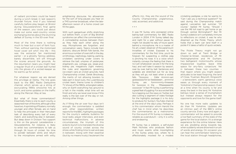of radiant picnickers could be heard during a lunch break in last season's Arundel fixture. And if you listened carefully before play began at Bristol during Gloucestershire's final game of the season, you could just about make out some west-country voices exchanging stories about the stunning defeat of Surrey in the 50-over final.

Most of the time there is nothing much to hear but a sort of faint fuzz. Then, without warning, the motorised hover cover will whirr into life – this was the extractor fan mentioned earlier – or a ghostly Tannoy address, barely discernible, will sift through the scores around the grounds. As the resumption nears you might hear a regular thud of a cricket ball hurled into the gloves of a wicket-keeper as he warms up for action.

For whatever reason we are denied this privilege at Derby. The line goes back to the BBC Radio Derbyshire channel, which serves up a string of excruciating 1990s smoochie hits at lunch, and some updates on the traffic along the Mercian Way at tea.

But what of those commentators? Essentially there is one to each county, a seasoned man of the shire, although a few have two. A sprinkling of floaters, normally younger and often female, are on hand to help the principals in their Herculean task of describing every ball of every match, and everything else in between. But deep down in Division Two support is thin on the ground. Leicestershire v Gloucestershire, for instance, is likely to enlist two commentators to talk us through 24 hours of cricket. No time to ponder between stints and return to the microphone armed with witty,

enlightening discourse. No allowances for the sort of long pauses you hear on a *TMS* summer broadcast, when the lateafternoon swoon of a home crowd can fill the gaps.

With such gargantuan shifts stretching out before them, a sort of Big Brother syndrome can affect the commentators. A comradeship evolves between them as they help each other along the way. Microphones are forgotten, and conversation veers. Topics include train stations, obscure British folk bands, the enormous number of overs left in the day, ornithology, nephology, baking, parking, cricketers vanishing under covers to retrieve the ball, umpires of yesteryear, shepherd's pie, cottage pie, steak-andkidney pie, megatrons (light meters), the rules and regulations governing ice-cream vans at cricket grounds, hard Championship cricket, Derek Brockway, the merits of not allowing bowlers to take part in bowl-outs, the Luxembourg cricket team, theme tunes to children's TV shows of the 1960s, entangled cables, why on Earth everything has ground to a halt in the middle, what time will we finish and why we never ever know if this really is the last over of the day or not. Among other things.

As if filling the air over four days isn't enough, the commentator is saddled with other responsibilities: written reports for the BBC, highlights packages for the county's website, bulletins for local radio, player interviews, and even technical malfunctions. In adverse circumstances, the triumph of this eclectic bunch is to translate the diverse sound of county cricket across the shires while finding time to eat and pee in between. Along with their essential (but by no means trusty) lieutenant the

effects mic, they are the sound of the County Championship: unglamorous, odd, accented, and addictive.

• • •

It was Mr Surrey who pioneered online ball-by-ball commentary for BBC Radio London in 2004. If Mr Surrey talked day and night for a year without pause he might not double his tally of hours spent behind a microphone. He is a master of his art, a keen observer of the paramount trivialities of cricket. Exposed to his commentary for the first time, you'd be forgiven for suspecting a clothes peg is pinching his nose. It is a voice which instantly conveys the feeling that there is no rush whatsoever; we are in for the long haul, and we'll take it session by session, over by over, ball by ball. Sentences and syllables are stretched out for as long as they will go, not least when a wicket falls. "Soooooo … Zafar Annnnn-sari goessssssss for six-teeeeeeeen … annnnnd Surrey are forrrrrrrrrrrty-threeeee for twooooo in the … fifteeeeeeenth ooooover." In fact Mr Surrey is performing a great feat of juggling. For as a wicket falls he is tapping out the news on Twitter, but also cutting a segment of video footage for the highlights package it is his duty to produce for Surrey's YouTube channel at the end of the day's play. Perhaps it is this commentator whom Harold the chef has in mind when he describes the commentaries as a metronome. For the sound of Mr Surrey is indeed as reliable as a pendulum – only it is witty and endearing.

Mr Surrey has a sidekick, a self-styled Mark Nicholas who produces fashion and music events while moonlighting in the Surrey press box, where he is affectionately mocked for a modest cricketing pedigree, a role he warms to. "Can I ask you a technical question?" he said during the Championship match against Lancashire last summer. "Of course," replied Mr Surrey. "Should I use the M6 toll road to get home or go through central Birmingham?" But Mr Surrey's sidekick isn't completely immune to reflections on cricket; it was he who dreamed up the Pickle Theory, which holds that a team can land itself in a pickle if it takes a hatful of quick wickets.

The Pickle Theory might not go down so well at Trent Bridge or Chester-le-Street, residences of Mr Nottinghamshire and Mr Durham, two belligerent motormouths whose impassioned loyalties leave little space for airy-fairy conjecture. Yet in between these two counties – that region where you might expect attitudes to be least forgiving, the land of Close, Trueman, Boycott, Illingworth – a benevolent, warm, generous voice eases us through every moment of Yorkshire's Championship season. Even at a time when his county is far and away the best in the land, Mr Yorkshire betrays never a sense of triumphalism but instead always respect for the opponents and love for the game itself.

No one has more radio updates to do than Mr Yorkshire. Updates are an intrinsic part of the BBC's online county service. Every now and again, a commentator will be asked to provide a live flash summary of the state of the game for the local station. It's a strange experience for the online listener. Here we are, plodding along towards tea, when suddenly we are drowned in a rush of words and energy. On occasion you can hear the commentator listening to the local station through headphones,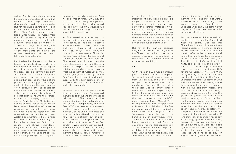waiting for his cue while making sure his online audience doesn't miss a ball. Each commentator might have half-adozen updates to do throughout a day. But Mr Yorkshire answers to five local stations: Radio Leeds, Radio Sheffield, Radio York, Radio Humberside and Radio Lincolnshire. This means more than 30 updates a day. Consider a marathon runner who bursts into a 100m sprint once every mile. Mr Yorkshire, though, is indefatigable, weaving in concise, elegant snapshots of the match into the flow of the ongoing narrative so that they rise and fall in gentle undulations.

Mr Derbyshire happens to be a former New Zealand fast bowler who has become an expert at calling the game from square leg. The view from the press box is a common problem. At Taunton, for example, only one commentator can see the scoreboard and neither can see the whole of the ground. But at Derby you are at right angles to the pitch, the man on strike often obscured by the square-leg umpire, and a scoreboard nowhere in sight. Has the batsman been bowled? Did that pitch in line with the stumps? Is the ball swinging? What's the score? It's a lottery. But Mr Derbyshire, clawing at clues such as the pose of the batsman and the position of the keeper, provides a plausible perspective on what might be happening with great skill and verve. Like many New Zealand commentators, he is a force of enthusiasm – once admitting that he smiles at strangers (with mixed results) – and always tremendously caught up in the tactics of the game. In an apparently sedate passage of play he will throw down the gauntlet to his unsuspecting colleague who might just be starting to wonder what sort of pie will be served at lunch: "OK Dave, let's do some crystal-balling. Put yourself in the captain's shoes: what would you do now?" And Mr Derbyshire will launch into a whole range of theories about fielding positions.

Mr Gloucestershire is a country boy through and through, always referring to his county as The Shire. He comes across as the sort of cheery fellow you find in one of those wonderfully small and dingy village sports shops, the type which has every piece of kit under the sun hanging from the ceiling and strewn out across the shop floor. Mr Gloucestershire would unearth just the piece of equipment you need. There is a hint of the mad professor about him. In quieter moments he loves to imagine a West Indies team of motorway service stations (always captained by Taunton Dean), and he will react to a dramatic event with the high-pitched cry of someone who has trapped their foot under the leg of a chair.

At Essex there are two Misters who describe themselves as "grumpy old men, but quite joyous and cheerful about being grumpy". They lament declining county standards, the mishandling of the County Championship, the way Essex CCC is subservient to the needs of the England cricket team. Their monopoly of the Chelmsford press box is occasionally shattered by a tell-youhow-it-is voice straight out of *Lock, Stock and Two Smoking Barrels* – in fact belonging to a former Essex fast bowler. Mr Worcestershire is your dyedin-the-wool local radio broadcaster, a man who has his own Saturdaymorning phone-in show, commentates on the Worcester Warriors, and loves

every blade of grass in the West Midlands. At New Road he enjoys a telepathic relationship with Dean the ice-cream man, and conducts a day's play with a serenity matched only by his Surrey colleague. Mr Somerset is a former director of the National Farmers' Union, has written a book on the great writers who were inspired by west-country landscapes, and is the

But for all the manifold personas, tangential discussions and strange noises that flicker down the line throughout the summer, there is still nothing quite like the cricket. And the commentators are excellent at describing it.

son of a famous cricketing voice.

• • •

On the face of it 2015 was a humdrum year: Yorkshire were champions, Surrey and Lancashire were promoted from Division Two, and Leicestershire scooped the wooden spoon. Plus ça change. But beneath the surface the season was, like every other in the County Championship's 125-year history, teeming with narrative, from tense finishes to microscopic moments that would be lost without the BBC's county commentaries. Michael Yardy making a century in his last appearance at Hove – only to fall short in his final innings a week later at Headingley, when Sussex were relegated. Kumar Sangakkara purring his way to a hundred on an anonymous, wintry Thursday afternoon at Old Trafford, having recently returned from the cauldron of his final Test appearance in Sri Lanka. The debutant Rob Sayer held aloft by his Leicestershire teammates after taking his maiden first-class wicket. Alex Wakely, the Northants captain and opener, injuring his hand on the first morning of his side's match at Derby, unable to bat in the first innings, then saving the game on the final afternoon. Chris Jordan belting Boyd Rankin over long off as Sussex beat Warwickshire

by one wicket at Hove.

THE NIGHTWATCHMAN -

And then there was Mr Leicestershire's reaction to the moment at Chelmsford when his county won its first Championship match in nearly three years. Mr Leicestershire mostly sounds like a man who has seen his county lose once too often, with a voice so soft and fragile that one longs for a colleague to put an arm round him. Then, last June, this: "Leicester's own Lewis Hill waits, as Nijar goes in and bowls to him, and he looks to push into the covers! He's going to get the run! He's got the run! Leicestershire. Have. Won. I'll say that again. Leicestershire have won for the first time in the County Championship since September 2012 – 38 matches and 993 days ago. And that's a long, long time for a county with a proud cricketing history and tradition, a county that's always punched above its weight in this, the greatest of games." Mr Leicestershire was just breaking into full stride. "And, you know, perhaps some of the critics in recent times should have paused to remember that this is a county that doesn't have a wealthy benefactor to pump millions into the club, or a council prepared to loan it and then write off tens of millions of pounds. It has to pay its own way, try to balance the books, develop its own players. Let's talk about how many players developed by Leicestershire have been snapped up by other counties with bigger resources and gone on to play for England: recently Stuart Broad, James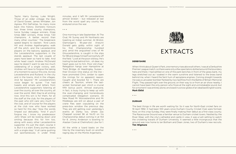Taylor, Harry Gurney, Luke Wright. Those of an older vintage: the likes of David Gower, James Whitaker, Jon Agnew, Phil DeFreitas. So many more back into history. Domestic honours too: three times county champions, twice Sunday League winners, three times B&H winners, three times T20 champions. A better record than many other counties." The breakneck speed begins to slacken. "And Lewis Hill and Andrea Agathangelou walk off the pitch, and the Leicestershire players on the balcony applaud, and the Leicestershire supporters in the stands applaud. The last couple of years have been so hard to take. And while head coach Andrew McDonald says he doesn't want to see too much celebrating of a single victory, well, Andrew will have to forgive the taking of a moment to savour this one. Across Leicestershire and Rutland. In the city and in the towns. And in the villages. And far beyond." Mr Leicestershire's voice began to quiver. "I've had tweets and emails and letters from Leicestershire supporters listening all over the county, all over the country, all over the world. Well, they're all smiling now. And this win is for them, for all the staff at the club, for the players of the past who still care very much for the club, and of course for the players at the club now who have worked so hard for this day." Now the words limped out delicately. "And if you'll forgive me, I know my predecessor John Shaw will be looking down and smiling because this for him too, along with every other Leicestershire supporter. It's just the start, course it is. But it is a start. Every journey starts with a single step." It all came gushing out spontaneously in under three minutes, and it left Mr Leicestershire almost broken – but released at last from the worst spell any county has endured since the war.

# • • •

One morning in late September. At The Oval, Mr Surrey and Mr Northants are toasting an Indian summer. At Bristol, Glamorgan's 18-year-old Aneurin Donald gets giddy within sight of his first Championship hundred and, amid the anguished cries of Mr Gloucestershire, is caught in the slips for 98 and drags himself sorrowfully off the field. "Look at the poor old boy. He's trailing his bat behind him… oh dear, my heart goes out to him. Poor old chap." Relegation hangs over Hampshire at Trent Bridge. At Headingley, Sussex – their Division One status on the line – have promoted Chris Jordan to open the innings for no apparent reason. Caught and bowled for 1. There are cheers at Taunton, where the lastwicket Somerset pair clinch a crucial fifth bonus point. Almost everyone, in fact, is busy trying to keep up with the ever-changing and horrendously complicated relegation scenario. At New Road Mr Worcestershire and Mr Middlesex are still on about a pair of crane flies seen copulating on the press-box window the previous day. They are still getting over yesterday's events at Derby too, where Zac Chappell scored 96 at No.10 on his Championship debut coming in at 154 for 8. Jimmy Anderson is bowling to Alastair Cook at Chelmsford. Lbw for 1.

All the while a lizard basks on the tiles by the rosemary bush on another raging day on the Monte Argentario.



THE NIGHTWATCHMAN -

# EXTRACTS

## **DERBYSHIRE**

When I think about Queen's Park, one memory rises above all others. I was at a Derbyshire Premier League match, so there were only a few spectators dotted around the boundary here and there. I had settled on one of the park benches in front of the grass bank, my legs stretched out as I soaked in the warm sunshine and listened to the brass band behind me, when I heard the faint hum of aeroplane engines. Coming straight towards me was a Lancaster bomber flanked by two Spitfires from the Battle of Britain Memorial Flight. They passed right over the ground, on their way to or from an air show nearby. I cannot have been the only person who froze at the sight and unmistakable sound, but for a moment I was entirely alone, enclosed in a snow globe of an idealised English scene. **Mark Eklid**

• • •

# **DURHAM**

The best things in life are worth waiting for. So it was for North-East cricket fans on 19 April 1992. It had been 100 years since Durham County Cricket Club were formed. Now, on this crisp Sunday, they were finally making their debut as a first-class county. The Racecourse Ground was a familiar venue to Durham cricket lovers. Nestled by the River Wear, with the city's cathedral and castle in view, it was a lush setting to watch the cricketing travails of Durham University. It seemed a little incongruous that the ground was now home to Ian Botham and Dean Jones, two of Durham's new recruits. **Tim Wigmore**

• • •

• • •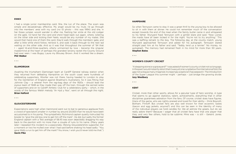# **ESSEX**

I had a single junior membership card. She, the run of the place. The scam was simple and devastatingly effective. My angel would be my mule. I'd go through into the members' area with my card (no ID photo – this was 1994) and she, in her Essex jumper, would wander in after me, flashing her smile at the old codger on the gate. I'd hand her the card and she'd head back out again, where, loitering on the other side and kicking their heels, would be any number of my mates. She would then hand one of them the card, they'd walk through the members' gate, and after a little while she'd follow, retrieve it, and walk it back through to the next lad waiting on the other side. And so it was that throughout the summer of '94 that I – aged 14-and-three-quarters, utterly unmanned by love – became the singular mastermind at the heart of perhaps the grandest larceny racket the County Ground had ever seen. I was Bugsy; Laura my Blousey Brown. And it worked like a dream. **Phil Walker**

• • •

# **GLAMORGAN**

Awaiting the triumphant Glamorgan team at Cardiff General railway station when they returned from defeating Hampshire on the south coast were hundreds of celebrating supporters. Wooller was not there, having headed to London to play for the Gentlemen of England against Bradman's Australians. So it was fitting that Johnnie Clay – a veteran from the rag-bag days of the 1920s – should lead the joyous team of 1948 as they made their way off the train, through the serried ranks of supporters and on to Cardiff Athletic Club for a celebratory party – which, in the words of the famous Welsh melody "Ar Hyd y Nos", went on all through the night. **Brian Halford**

• • •

## **GLOUCESTERSHIRE**

Expectations were high when Hammond went out to bat to generous applause from a crowd of spectators smaller in number by around 20,000 than he would have been accustomed to in his pomp. The sympathetic Richmond captain quietly instructed his bowler to "give the old boy one to get him off the mark". He did, but sadly the former England captain with a Test average of 58.45 was soon dejectedly dragging his way back to the pavilion with no more than a couple of runs to his name. (Many years later I repeated this incident to a passionate, lifelong Gloucestershire supporter. For a moment or two he mulled over what I had said before shaking his head sadly: "You gave Wally a run to get him off the mark? You know, I wish you'd never told me that.") **Gavin Pike**

#### **HAMPSHIRE**

So when Tennyson came to stay it was a great thrill to the young boy to be allowed to sit in with them at dinner. He could not remember much of the conversation except towards the end of the meal when the family butler came in and whispered to his father. Wynyard fixed Tennyson with a gimlet stare and said: "Now Lionel, the maids have all been locked in for the night. You're not to try anything." This was a baffling remark to the boy. The following day, at the county match, young Wynyard approached Tennyson and asked for his autograph. Tennyson stared straight past him at his father and said: "Teddy, lend us a tenner." No money, no autograph. The memory had remained fresh in his mind for more than 50 years. **Stephen Bates**

• • •

#### **WOMEN'S COUNTY CRICKET**

"A stepping stone or a graveyard?" I was asked of women's county cricket not so long ago. In the past I would instantly retort that it was just one rung below the international fold, the gap not so big as many imagined. Increasingly scepticism has seeped in. The introduction of the Super League this summer might – perhaps – just bridge the growing divide. **Izzy Westbury** 

• • •

# **KENT**

Cricket, more than other sports, allows for a peculiar type of hero worship. A type that seems to go against statistics, talent, achievements, everything that in other disciplines guarantees adoration from the fans. Of course, cricket does have figures, titans of the game, who are rightly praised and loved for their ability – think Boycott, Botham, Flintoff. But cricket fans are also well known for their eccentric tastes (bacon and egg jackets, anyone?) and this can be seen in the identity of many of the individual players we hold candles for. We all admire the greats, but do we really adore them? Because I wager that all cricket fans have that one player that they, and very few others, hold to be sublime. Mine was – is still – Geraint Jones. **Howard Horner**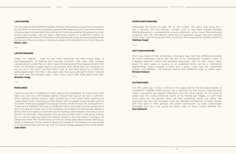#### **LANCASHIRE**

I've only been to Old Trafford a handful of times. That's pretty unusual for a Lancashire fan. But then, I'm not from Lancashire. I grew up 180 miles south of it, where the northern influence upon me extended only as far as the Yorkshire pudding that graced my roast dinner every Sunday. I did not have a Mancunian mother, or a dad from Dalton, or grandparents we visited in the holidays in Morecambe Bay. I may once have glimpsed the county out of the car window, on the way to a week in the Lake District, but I can't be sure. **Emma John** 

• • •

#### **LEICESTERSHIRE**

Today, I'm walking. I want to see what memories the hike brings back, a psychogeography of batting and bowling moments with each step towards Leicestershire's cricket Mecca. I don't need reminding about the disappointment I felt when Viv Richards trudged back to the pavilion after failing early for Somerset, or my run out in the junior cup final when I was 15, sent back going for a sharp but well-judged single. And then a few years later, that six-a-side game where I slanted one back into Chris Broad's pads – don't worry, you'll hear more about that later. **Nicholas Hogg**

• • •

# **MIDDLESEX**

I found a new hero in Middlesex's match against the Australians. St Vincent-born Wilf Slack was, like me, a left-handed opener, though that was all we had in common. After making a double-century, Slack strolled out of the Grace Gates, beaming (a "watermelon smile", according to Mike Selvey) with a sweater slung casually over his shoulders. There was a gaggle of autograph hunters, of which I was one, waiting for him. These are the indelible memories of childhood. Slack's form that summer earned him a spot on England's winter tour to the Caribbean, an ill-fated trip that brought defeat in all five Tests for England, a smashed nose for Gatting and the fastest Test century of all time for Viv Richards. Slack played in the second and fifth Tests in that series, making 52 in a century opening stand with Graham Gooch in the final match in Antigua. He played one more Test the following summer but three years later he died, following a series of blackouts, at the crease in Banjul, the capital of The Gambia. He was buried in his England blazer with his bat, and his funeral cortege passed by the Grace Gates. **John Stern**

#### **NORTHAMPTONSHIRE**

persuaded the family to take me to the cricket. We didn't stay long but I got a glimpse, and the memory remains vivid. It was bank holiday Monday: Northamptonshire v Leicestershire: a sunny afternoon, a big crowd. We positioned ourselves near the now-defunct press box at backward square leg and watched Frank Tyson, hair thinning even then, running in from beyond the football touchline. **Matthew Engel**

• • •

# **NOTTINGHAMSHIRE**

Much was made of their similarities in the early days, but their differences proved far more interesting. Cairns was the son of an international cricketer, Lewis of a Baptist preacher. Cairns had travelled extensively with his dad, Lance; Lewis spent his early years in Guyana, in an extended family led by a matriarchal grandmother. Cairns enjoyed a drink and a party, Lewis was shy, sometimes solitary, and teetotal - he followed fashion and preferred clubs to earthy bars. **Richard Hobson** 

• • •

# **OUTGROUNDS**

It is fifty years ago. A boy is sitting on the grass behind the boundary boards at Southport's Trafalgar Road ground. He is watching his first County Championship match. Lancashire are playing Derbyshire and the white figures on the echoing green hold him quite entranced. Some of his friends get fidgety or scoff their lunch early but he ignores them. He likes everything about the game: the spectacle, the skill, the numbers. Even the delicate architecture of three stumps with two bails in their grooves, the whole construction so easily disarranged. fascinates him. He is too young for either cider or Rosie. Cricket satisfies him. **Paul Edwards**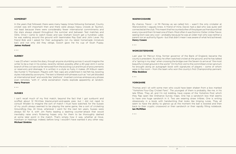# **SOMERSET**

In the years that followed, there were many happy times following Somerset. County cricket was still important then and there were always heavy crowds at Taunton, not least because there were considerably fewer international commitments and the stars always played throughout the summer and between Test matches and ODIs. Once I came to watch Essex and saw Graham Gooch get a hundred. Later, he was walking around the ground with teammates Ray East and John Lever. My friend Bob and I asked for their autographs (on my latest homemade miniature bat) and not only did they oblige, Gooch gave me his cup of Slush Puppy. **James Holland**

• • •

## **SURREY**

I was 23 when I wrote the diary, though anyone stumbling across it would imagine the writer to be a man in his sixties, recently retired, possibly after a 40-year stint in some branch of the civil service far removed from the exciting cut and thrust of procurements or reservoirs and drainage. It is written in a style so fusty it makes JM Kilburn seem like Hunter S Thompson. Players with Test caps are underlined in red felt-tip, bowling styles indicated by acronyms. The text is littered with phrases such as "not yet blooded at international level" and words like "plethora". Inverted commas embrace any phrase even remotely "with it", while exclamation marks explode apparently at random. **Harry Pearson**

• • •

#### **SUSSEX**

I can't recall much of my first match, beyond the fact that I got sunburnt and scoffed about 12 McVities blackcurrant-and-apple pies: but I did not need to consult Wisden to imagine the sort of match I must have watched; for the Sussex of my youth always seemed to be playing the same game, like a sort of cricketing Groundhog Day. At Hove, whenever I went for the next ten years, Sussex were always 50 for 4, with Jim Parks leading a dashing counter-attack that would inevitably raise one's flickering hopes only for them to be thoroughly dashed at some later point in the match. That's simply how it was, whether at Hove, Horsham or Hastings: indeed, before long I wouldn't have wanted it any other way. **Michael Simkins**

# **WARWICKSHIRE**

By chance, Trevor – or Mr Penney as we called him – wasn't the only cricketer at Warwickshire I vaguely knew. A friend of mine, David, had a dad who was quite well connected at the club. This meant that he counted a few of the players as friends and that every now and then I'd meet one of them. Most often it was Dominic Ostler. Unlike Trevor, seeing Dom was very cool – probably because he was an older man who was neither a parent nor an authority figure – but that didn't mean I was aware of what he'd achieved. **Henry Cowen**

• • •

# **WORCESTERSHIRE**

Last year Sir Mervyn King, former governor of the Bank of England, became the county's president. As a boy he often watched cricket at the ground, and he has talked of a "spring in my step" when crossing the bridge over the Severn to arrive at "the most beautiful cricket ground in the world." On his first visit to the committee's inner sanctum he brought along an autograph book with signatures of players – some of whom were in the room – from the team who won the county's first Championship pennant. **Mike Beddow**

• • •

# **YORKSHIRE**

Thomas and I sit with some men who could have been shaken from a box marked "Yorkshire Four-Day Cricket Fans". The youngest of them is probably, like me, in his late fifties. They all, and I'm not kidding, have copies of the Yorkshire Post which they flap open like Ordnance Survey maps. One has a sandwich box that seems to have one huge sandwich in it. Two are wearing straw trilbies. One is writing obsessively in a book with handwriting that looks like limping runes. They all seem to have the ability to glance up at the moment the ball is bowled and then back to their cryptic crossword or their sandwich or their rapidly filling notebook. **Ian McMillan**

• • •